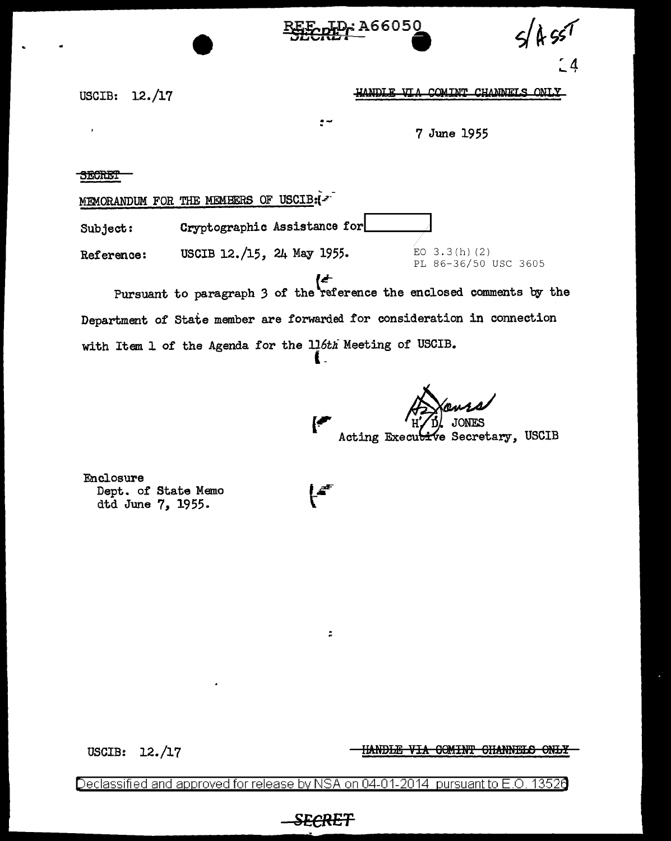**D.: A66050** 

 $\Delta$ 

USCIB: 12./17

HANDLE VIA COMINT CHANNELS ONLY

7 June 1955

EO  $3.3(h)$  (2)

**SECRET** 

 $\hat{V}$ 

MEMORANDUM FOR THE MEMBERS OF USCIB:(-

Cryptographic Assistance for Subject:

USCIB 12./15, 24 May 1955. Reference:

PL 86-36/50 USC 3605 Pursuant to paragraph 3 of the reference the enclosed comments by the Department of State member are forwarded for consideration in connection with Item 1 of the Agenda for the 116th Meeting of USCIB.

ŧ.

 $\ddot{\cdot}$ 

ve Secretary, USCIB Acting Executi

Enclosure Dept. of State Memo dtd June 7, 1955.

USCIB:  $12./17$ 

<u>HANDLE VIA COMINT CHANNELS ONLY</u>

Declassified and approved for release by NSA on 04-01-2014 pursuant to E.O 13526

<del>SECRET</del>

 $\ddot{\phantom{a}}$